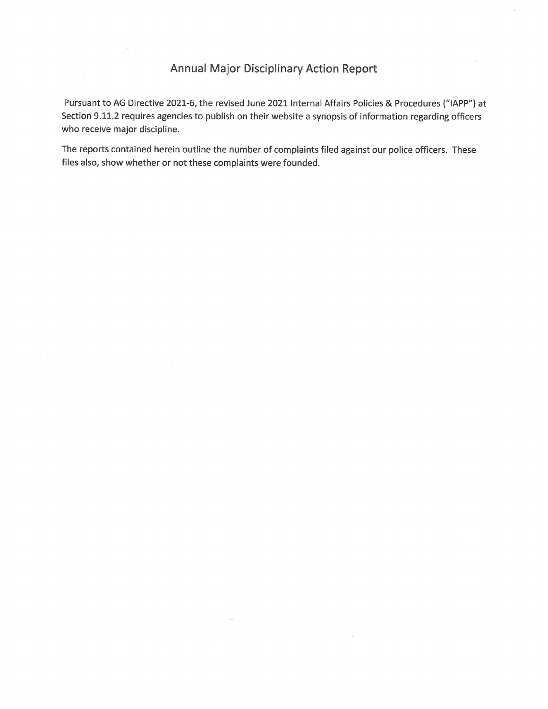## **Annual Major Disciplinary Action Report**

Pursuant to AG Directive 2021-6, the revised June 2021 Internal Affairs Policies & Procedures ("IAPP") at Section 9.11.2 requires agencies to publish on their website a synopsis of information regarding officers who receive major discipline.

The reports contained herein outline the number of complaints filed against our police officers. These files also, show whether or not these complaints were founded.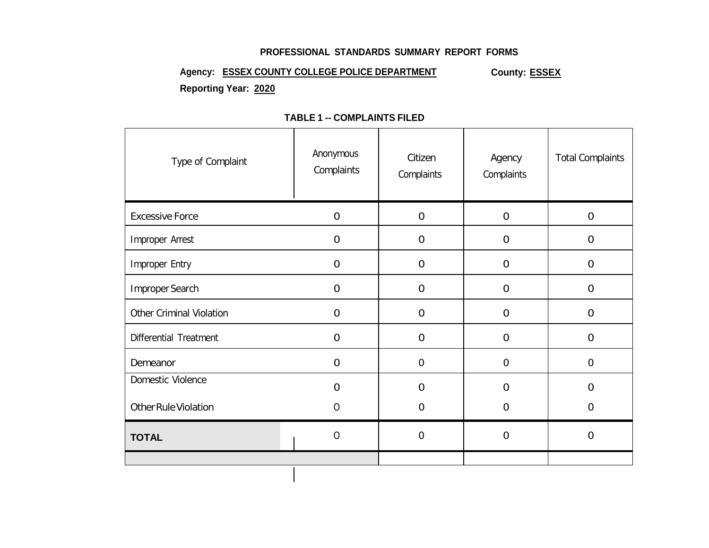#### **PROFESSIONAL STANDARDS SUMMARY REPORT FORMS**

## Agency: **ESSEX COUNTY COLLEGE POLICE DEPARTMENT** County: **ESSEX Reporting Year: 2020**

| Type of Complaint               | Anonymous<br>Complaints | Citizen<br>Complaints | Agency<br>Complaints | <b>Total Complaints</b> |
|---------------------------------|-------------------------|-----------------------|----------------------|-------------------------|
| <b>Excessive Force</b>          | $\mathbf 0$             | $\boldsymbol{0}$      | $\boldsymbol{0}$     | $\boldsymbol{0}$        |
| Improper Arrest                 | $\mathbf 0$             | $\boldsymbol{0}$      | $\boldsymbol{0}$     | $\boldsymbol{0}$        |
| Improper Entry                  | $\mathbf 0$             | $\overline{0}$        | $\overline{0}$       | $\boldsymbol{0}$        |
| Improper Search                 | $\mathbf 0$             | $\mathbf 0$           | $\boldsymbol{0}$     | $\boldsymbol{0}$        |
| <b>Other Criminal Violation</b> | $\Omega$                | $\overline{0}$        | $\mathbf 0$          | $\mathbf 0$             |
| Differential Treatment          | $\overline{0}$          | $\boldsymbol{0}$      | $\boldsymbol{0}$     | $\boldsymbol{0}$        |
| Demeanor                        | $\mathbf 0$             | $\boldsymbol{0}$      | $\boldsymbol{0}$     | $\boldsymbol{0}$        |
| Domestic Violence               | $\Omega$                | $\overline{0}$        | $\overline{0}$       | 0                       |
| <b>Other Rule Violation</b>     | $\overline{0}$          | $\overline{0}$        | $\mathbf 0$          | $\mathbf 0$             |
| <b>TOTAL</b>                    | $\mathbf 0$             | $\boldsymbol{0}$      | $\mathbf 0$          | $\mathbf 0$             |
|                                 |                         |                       |                      |                         |

### **TABLE 1 -- COMPLAINTS FILED**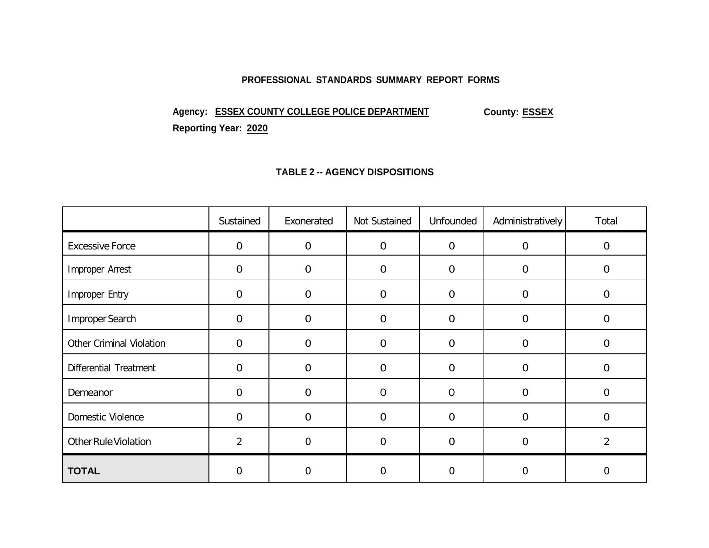#### **PROFESSIONAL STANDARDS SUMMARY REPORT FORMS**

# Agency: **ESSEX COUNTY COLLEGE POLICE DEPARTMENT** County: **ESSEX**

**Reporting Year: 2020**

#### **TABLE 2 -- AGENCY DISPOSITIONS**

|                                 | Sustained      | Exonerated     | Not Sustained  | Unfounded      | Administratively | Total          |
|---------------------------------|----------------|----------------|----------------|----------------|------------------|----------------|
| <b>Excessive Force</b>          | $\overline{0}$ | $\overline{0}$ | $\overline{0}$ | $\overline{0}$ | $\overline{0}$   | $\mathbf 0$    |
| Improper Arrest                 | $\overline{0}$ | $\overline{0}$ | $\overline{0}$ | $\overline{0}$ | $\mathbf{0}$     | $\mathbf 0$    |
| Improper Entry                  | $\mathbf 0$    | $\mathbf 0$    | $\overline{0}$ | $\overline{0}$ | $\mathbf 0$      | $\mathbf 0$    |
| Improper Search                 | $\mathbf 0$    | $\mathbf 0$    | $\mathbf 0$    | $\overline{0}$ | 0                | $\mathbf 0$    |
| <b>Other Criminal Violation</b> | $\mathbf 0$    | $\overline{0}$ | $\overline{0}$ | $\overline{0}$ | 0                | $\overline{0}$ |
| Differential Treatment          | $\mathbf 0$    | $\mathbf 0$    | $\mathbf 0$    | $\overline{0}$ | $\mathbf{0}$     | $\mathbf 0$    |
| Demeanor                        | $\mathbf{0}$   | $\mathbf 0$    | $\mathsf{O}$   | $\mathbf 0$    | 0                | $\mathbf 0$    |
| Domestic Violence               | $\mathbf 0$    | $\mathbf 0$    | $\Omega$       | $\Omega$       | 0                | $\Omega$       |
| <b>Other Rule Violation</b>     | $\overline{2}$ | $\mathbf 0$    | $\overline{0}$ | $\overline{0}$ | 0                | $\overline{2}$ |
| <b>TOTAL</b>                    | $\overline{0}$ | 0              | $\Omega$       | $\Omega$       | 0                | $\overline{0}$ |